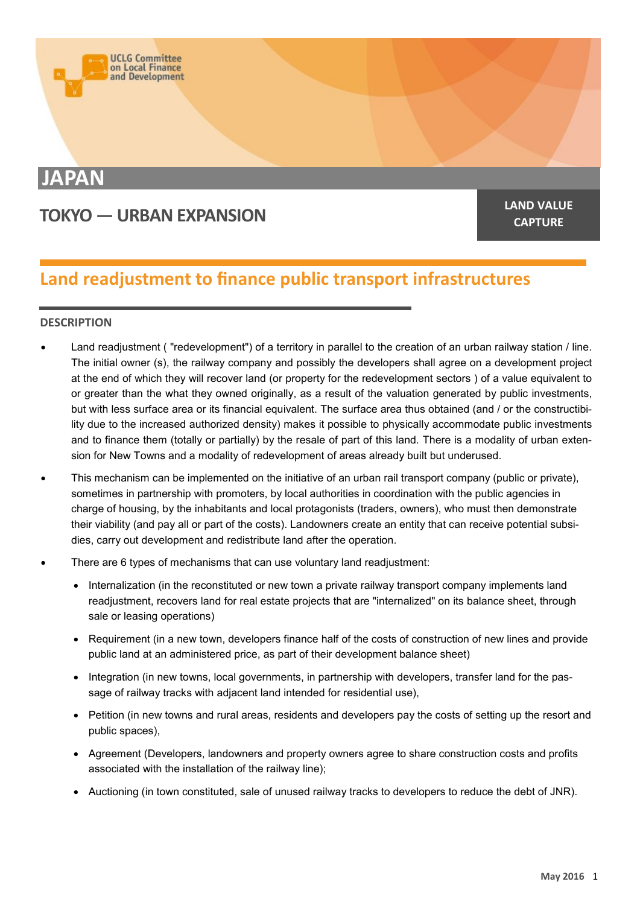

# **JAPAN**

# **TOKYO — URBAN EXPANSION LAND VALUE**

**CAPTURE**

# **Land readjustment to finance public transport infrastructures**

## **DESCRIPTION**

- Land readjustment ( "redevelopment") of a territory in parallel to the creation of an urban railway station / line. The initial owner (s), the railway company and possibly the developers shall agree on a development project at the end of which they will recover land (or property for the redevelopment sectors ) of a value equivalent to or greater than the what they owned originally, as a result of the valuation generated by public investments, but with less surface area or its financial equivalent. The surface area thus obtained (and / or the constructibility due to the increased authorized density) makes it possible to physically accommodate public investments and to finance them (totally or partially) by the resale of part of this land. There is a modality of urban extension for New Towns and a modality of redevelopment of areas already built but underused.
- This mechanism can be implemented on the initiative of an urban rail transport company (public or private), sometimes in partnership with promoters, by local authorities in coordination with the public agencies in charge of housing, by the inhabitants and local protagonists (traders, owners), who must then demonstrate their viability (and pay all or part of the costs). Landowners create an entity that can receive potential subsidies, carry out development and redistribute land after the operation.
- There are 6 types of mechanisms that can use voluntary land readjustment:
	- Internalization (in the reconstituted or new town a private railway transport company implements land readjustment, recovers land for real estate projects that are "internalized" on its balance sheet, through sale or leasing operations)
	- Requirement (in a new town, developers finance half of the costs of construction of new lines and provide public land at an administered price, as part of their development balance sheet)
	- Integration (in new towns, local governments, in partnership with developers, transfer land for the passage of railway tracks with adjacent land intended for residential use),
	- Petition (in new towns and rural areas, residents and developers pay the costs of setting up the resort and public spaces),
	- Agreement (Developers, landowners and property owners agree to share construction costs and profits associated with the installation of the railway line);
	- Auctioning (in town constituted, sale of unused railway tracks to developers to reduce the debt of JNR).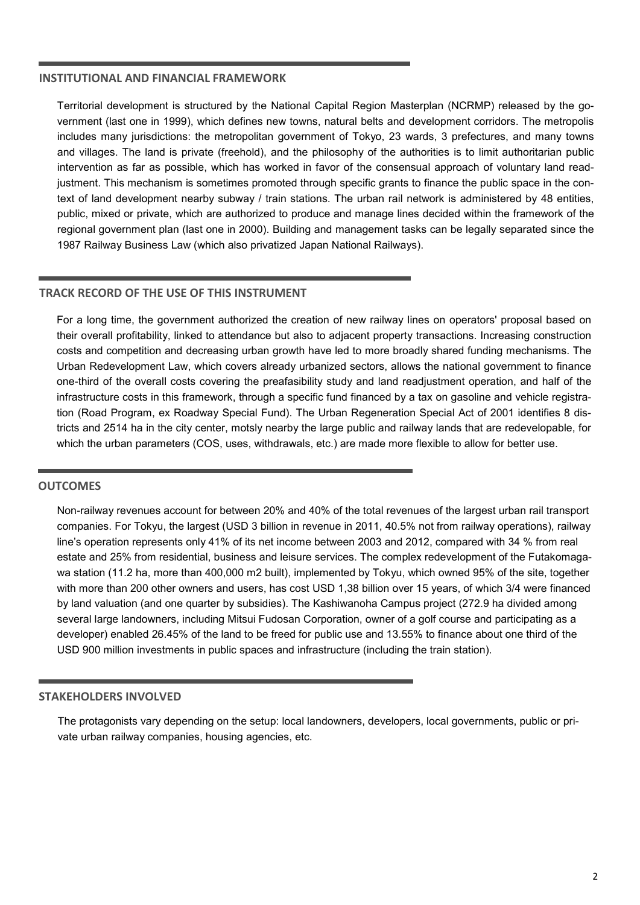#### **INSTITUTIONAL AND FINANCIAL FRAMEWORK**

Territorial development is structured by the National Capital Region Masterplan (NCRMP) released by the government (last one in 1999), which defines new towns, natural belts and development corridors. The metropolis includes many jurisdictions: the metropolitan government of Tokyo, 23 wards, 3 prefectures, and many towns and villages. The land is private (freehold), and the philosophy of the authorities is to limit authoritarian public intervention as far as possible, which has worked in favor of the consensual approach of voluntary land readjustment. This mechanism is sometimes promoted through specific grants to finance the public space in the context of land development nearby subway / train stations. The urban rail network is administered by 48 entities, public, mixed or private, which are authorized to produce and manage lines decided within the framework of the regional government plan (last one in 2000). Building and management tasks can be legally separated since the 1987 Railway Business Law (which also privatized Japan National Railways).

#### **TRACK RECORD OF THE USE OF THIS INSTRUMENT**

For a long time, the government authorized the creation of new railway lines on operators' proposal based on their overall profitability, linked to attendance but also to adjacent property transactions. Increasing construction costs and competition and decreasing urban growth have led to more broadly shared funding mechanisms. The Urban Redevelopment Law, which covers already urbanized sectors, allows the national government to finance one-third of the overall costs covering the preafasibility study and land readjustment operation, and half of the infrastructure costs in this framework, through a specific fund financed by a tax on gasoline and vehicle registration (Road Program, ex Roadway Special Fund). The Urban Regeneration Special Act of 2001 identifies 8 districts and 2514 ha in the city center, motsly nearby the large public and railway lands that are redevelopable, for which the urban parameters (COS, uses, withdrawals, etc.) are made more flexible to allow for better use.

#### **OUTCOMES**

Non-railway revenues account for between 20% and 40% of the total revenues of the largest urban rail transport companies. For Tokyu, the largest (USD 3 billion in revenue in 2011, 40.5% not from railway operations), railway line's operation represents only 41% of its net income between 2003 and 2012, compared with 34 % from real estate and 25% from residential, business and leisure services. The complex redevelopment of the Futakomagawa station (11.2 ha, more than 400,000 m2 built), implemented by Tokyu, which owned 95% of the site, together with more than 200 other owners and users, has cost USD 1,38 billion over 15 years, of which 3/4 were financed by land valuation (and one quarter by subsidies). The Kashiwanoha Campus project (272.9 ha divided among several large landowners, including Mitsui Fudosan Corporation, owner of a golf course and participating as a developer) enabled 26.45% of the land to be freed for public use and 13.55% to finance about one third of the USD 900 million investments in public spaces and infrastructure (including the train station).

#### **STAKEHOLDERS INVOLVED**

The protagonists vary depending on the setup: local landowners, developers, local governments, public or private urban railway companies, housing agencies, etc.